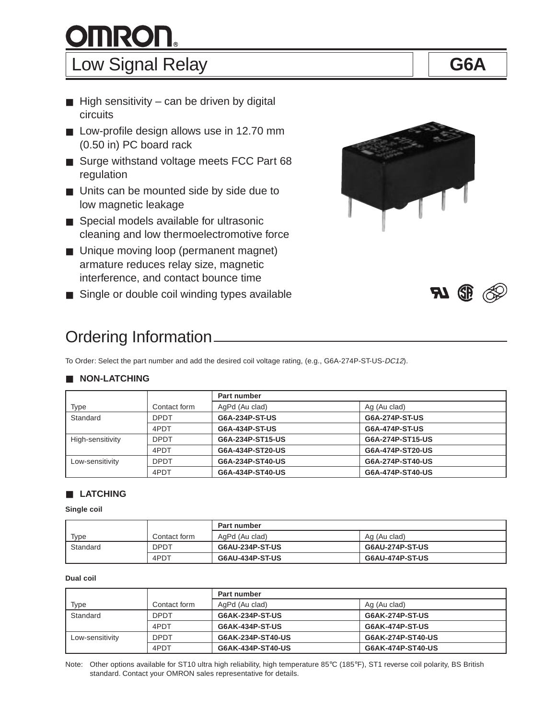# **OMRON。**

## Low Signal Relay **G6A**

- $\blacksquare$  High sensitivity can be driven by digital circuits
- Low-profile design allows use in 12.70 mm (0.50 in) PC board rack
- Surge withstand voltage meets FCC Part 68 regulation
- Units can be mounted side by side due to low magnetic leakage
- Special models available for ultrasonic cleaning and low thermoelectromotive force
- Unique moving loop (permanent magnet) armature reduces relay size, magnetic interference, and contact bounce time
- Single or double coil winding types available

## Ordering Information

To Order: Select the part number and add the desired coil voltage rating, (e.g., G6A-274P-ST-US-DC12).

#### ■ **NON-LATCHING**

|                  |              | Part number      |                  |  |  |  |  |
|------------------|--------------|------------------|------------------|--|--|--|--|
| Type             | Contact form | AgPd (Au clad)   | Ag (Au clad)     |  |  |  |  |
| Standard         | <b>DPDT</b>  | G6A-234P-ST-US   | G6A-274P-ST-US   |  |  |  |  |
|                  | 4PDT         | G6A-434P-ST-US   | G6A-474P-ST-US   |  |  |  |  |
| High-sensitivity | <b>DPDT</b>  | G6A-234P-ST15-US | G6A-274P-ST15-US |  |  |  |  |
|                  | 4PDT         | G6A-434P-ST20-US | G6A-474P-ST20-US |  |  |  |  |
| Low-sensitivity  | <b>DPDT</b>  | G6A-234P-ST40-US | G6A-274P-ST40-US |  |  |  |  |
|                  | 4PDT         | G6A-434P-ST40-US | G6A-474P-ST40-US |  |  |  |  |

#### ■ **LATCHING**

**Single coil**

|          |              | Part number     |                 |  |  |  |
|----------|--------------|-----------------|-----------------|--|--|--|
| Type     | Contact form | AgPd (Au clad)  | Ag (Au clad)    |  |  |  |
| Standard | <b>DPDT</b>  | G6AU-234P-ST-US | G6AU-274P-ST-US |  |  |  |
|          | 4PDT         | G6AU-434P-ST-US | G6AU-474P-ST-US |  |  |  |

#### **Dual coil**

|                 |              | <b>Part number</b>     |                   |  |  |  |  |
|-----------------|--------------|------------------------|-------------------|--|--|--|--|
| Type            | Contact form | AgPd (Au clad)         | Ag (Au clad)      |  |  |  |  |
| Standard        | <b>DPDT</b>  | G6AK-234P-ST-US        | G6AK-274P-ST-US   |  |  |  |  |
|                 | 4PDT         | <b>G6AK-434P-ST-US</b> | G6AK-474P-ST-US   |  |  |  |  |
| Low-sensitivity | <b>DPDT</b>  | G6AK-234P-ST40-US      | G6AK-274P-ST40-US |  |  |  |  |
|                 | 4PDT         | G6AK-434P-ST40-US      | G6AK-474P-ST40-US |  |  |  |  |

Note: Other options available for ST10 ultra high reliability, high temperature 85°C (185°F), ST1 reverse coil polarity, BS British standard. Contact your OMRON sales representative for details.





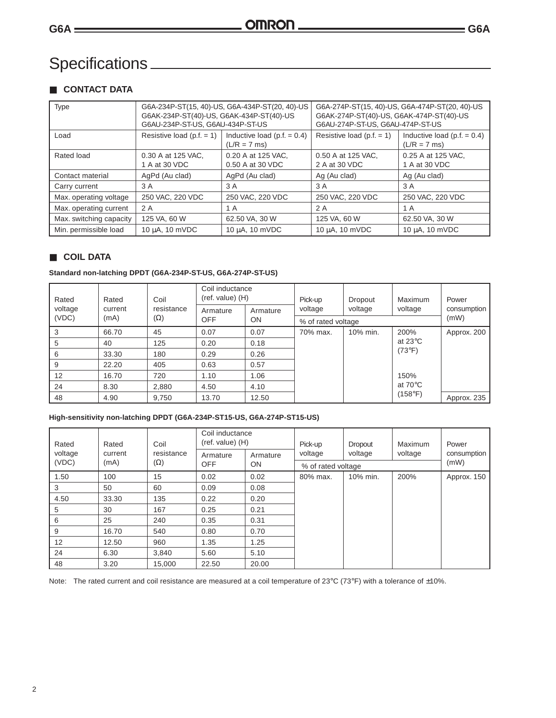### Specifications

#### ■ **CONTACT DATA**

| <b>Type</b>             | G6AK-234P-ST(40)-US, G6AK-434P-ST(40)-US<br>G6AU-234P-ST-US, G6AU-434P-ST-US | G6A-234P-ST(15, 40)-US, G6A-434P-ST(20, 40)-US   | G6A-274P-ST(15, 40)-US, G6A-474P-ST(20, 40)-US<br>G6AK-274P-ST(40)-US, G6AK-474P-ST(40)-US<br>G6AU-274P-ST-US, G6AU-474P-ST-US |                                                  |  |
|-------------------------|------------------------------------------------------------------------------|--------------------------------------------------|--------------------------------------------------------------------------------------------------------------------------------|--------------------------------------------------|--|
| Load                    | Resistive load (p.f. $= 1$ )                                                 | Inductive load (p.f. $= 0.4$ )<br>$(L/R = 7$ ms) | Resistive load $(p.f. = 1)$                                                                                                    | Inductive load (p.f. $= 0.4$ )<br>$(L/R = 7$ ms) |  |
| Rated load              | 0.30 A at 125 VAC,<br>1 A at 30 VDC                                          | 0.20 A at 125 VAC,<br>0.50 A at 30 VDC           | 0.50 A at 125 VAC,<br>2 A at 30 VDC                                                                                            | 0.25 A at 125 VAC,<br>1 A at 30 VDC              |  |
| Contact material        | AgPd (Au clad)                                                               | AgPd (Au clad)                                   | Ag (Au clad)                                                                                                                   | Ag (Au clad)                                     |  |
| Carry current           | 3 A                                                                          | 3 A                                              | 3 A                                                                                                                            | 3 A                                              |  |
| Max. operating voltage  | 250 VAC, 220 VDC                                                             | 250 VAC, 220 VDC                                 | 250 VAC, 220 VDC                                                                                                               | 250 VAC, 220 VDC                                 |  |
| Max. operating current  | 2 A                                                                          | 1 A                                              | 2 A                                                                                                                            | 1 A                                              |  |
| Max. switching capacity | 125 VA, 60 W                                                                 | 62.50 VA, 30 W                                   | 125 VA, 60 W                                                                                                                   | 62.50 VA, 30 W                                   |  |
| Min. permissible load   | 10 µA, 10 mVDC                                                               | 10 µA, 10 mVDC                                   | 10 µA, 10 mVDC                                                                                                                 | 10 µA, 10 mVDC                                   |  |

#### ■ **COIL DATA**

#### **Standard non-latching DPDT (G6A-234P-ST-US, G6A-274P-ST-US)**

| Rated | Coil<br>Rated<br>voltage<br>current<br>(VDC)<br>$(\Omega)$<br>(mA) |            | Coil inductance<br>$(ref. value)$ (H) |           | Pick-up            | Dropout  | Maximum                                       | Power       |
|-------|--------------------------------------------------------------------|------------|---------------------------------------|-----------|--------------------|----------|-----------------------------------------------|-------------|
|       |                                                                    | resistance | Armature                              | Armature  | voltage            | voltage  | voltage                                       | consumption |
|       |                                                                    |            | <b>OFF</b>                            | <b>ON</b> | % of rated voltage |          |                                               | (mW)        |
| 3     | 66.70                                                              | 45         | 0.07                                  | 0.07      | 70% max.           | 10% min. | 200%                                          | Approx. 200 |
| 5     | 40                                                                 | 125        | 0.20                                  | 0.18      |                    |          | at 23 $\mathrm{^{\circ}C}$<br>$(73^{\circ}F)$ |             |
| 6     | 33.30                                                              | 180        | 0.29                                  | 0.26      |                    |          |                                               |             |
| 9     | 22.20                                                              | 405        | 0.63                                  | 0.57      |                    |          |                                               |             |
| 12    | 16.70                                                              | 720        | 1.10                                  | 1.06      |                    |          | 150%                                          |             |
| 24    | 8.30                                                               | 2,880      | 4.50                                  | 4.10      |                    |          | at $70^{\circ}$ C                             |             |
| 48    | 4.90                                                               | 9,750      | 13.70                                 | 12.50     |                    |          | (158°F)                                       | Approx. 235 |

#### **High-sensitivity non-latching DPDT (G6A-234P-ST15-US, G6A-274P-ST15-US)**

| Rated              | Rated      | Coil       | Coil inductance<br>$(ref. value)$ (H) |           | Pick-up            | <b>Dropout</b><br>voltage | Maximum | Power<br>consumption |
|--------------------|------------|------------|---------------------------------------|-----------|--------------------|---------------------------|---------|----------------------|
| voltage<br>current | resistance | Armature   | Armature                              | voltage   | voltage            |                           |         |                      |
| (VDC)              | (mA)       | $(\Omega)$ | <b>OFF</b>                            | <b>ON</b> | % of rated voltage |                           |         | (mW)                 |
| 1.50               | 100        | 15         | 0.02                                  | 0.02      | 80% max.           | 10% min.                  | 200%    | Approx. 150          |
| 3                  | 50         | 60         | 0.09                                  | 0.08      |                    |                           |         |                      |
| 4.50               | 33.30      | 135        | 0.22                                  | 0.20      |                    |                           |         |                      |
| 5                  | 30         | 167        | 0.25                                  | 0.21      |                    |                           |         |                      |
| 6                  | 25         | 240        | 0.35                                  | 0.31      |                    |                           |         |                      |
| 9                  | 16.70      | 540        | 0.80                                  | 0.70      |                    |                           |         |                      |
| 12                 | 12.50      | 960        | 1.35                                  | 1.25      |                    |                           |         |                      |
| 24                 | 6.30       | 3.840      | 5.60                                  | 5.10      |                    |                           |         |                      |
| 48                 | 3.20       | 15,000     | 22.50                                 | 20.00     |                    |                           |         |                      |

Note: The rated current and coil resistance are measured at a coil temperature of 23°C (73°F) with a tolerance of ±10%.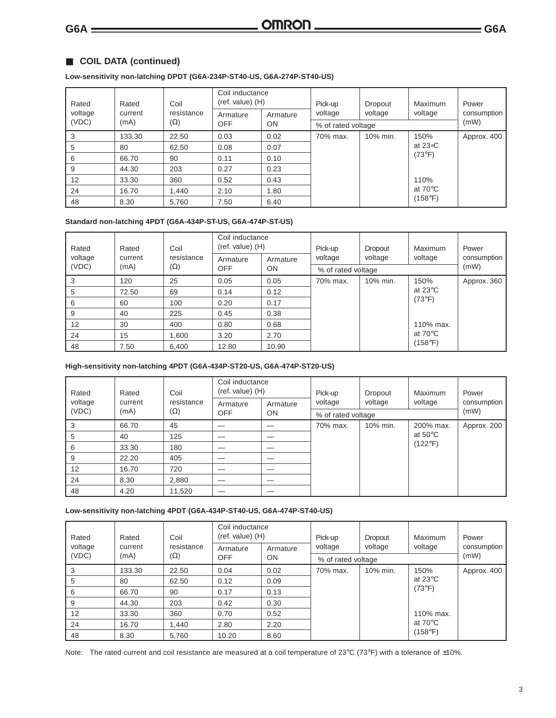#### ■ **COIL DATA (continued)**

#### **Low-sensitivity non-latching DPDT (G6A-234P-ST40-US, G6A-274P-ST40-US)**

| Rated         | Rated   | Coil       | Coil inductance<br>$(ref. value)$ (H) |           | Pick-up  | Dropout            | Maximum                      | Power               |  |
|---------------|---------|------------|---------------------------------------|-----------|----------|--------------------|------------------------------|---------------------|--|
| voltage       | current | resistance | Armature                              | Armature  | voltage  | voltage            | voltage                      | consumption<br>(mW) |  |
| (VDC)<br>(mA) |         | $(\Omega)$ | <b>OFF</b>                            | <b>ON</b> |          | % of rated voltage |                              |                     |  |
| 3             | 133.30  | 22.50      | 0.03                                  | 0.02      | 70% max. | 10% min.           | 150%                         | Approx. 400         |  |
| 5             | 80      | 62.50      | 0.08                                  | 0.07      |          |                    | at 23 $\circ$ C              |                     |  |
| 6             | 66.70   | 90         | 0.11                                  | 0.10      |          |                    | $(73^{\circ}F)$              |                     |  |
| 9             | 44.30   | 203        | 0.27                                  | 0.23      |          |                    |                              |                     |  |
| 12            | 33.30   | 360        | 0.52                                  | 0.43      |          |                    | 110%                         |                     |  |
| 24            | 16.70   | 1,440      | 2.10                                  | 1.80      |          |                    | at $70^{\circ}$ C<br>(158°F) |                     |  |
| 48            | 8.30    | 5.760      | 7.50                                  | 6.40      |          |                    |                              |                     |  |

#### **Standard non-latching 4PDT (G6A-434P-ST-US, G6A-474P-ST-US)**

| Rated<br>Rated<br>voltage<br>current |                                        | Coil     | Coil inductance<br>$(ref. value)$ (H) |         | Pick-up<br>voltage | Dropout<br>voltage | Maximum                    | Power<br>consumption |
|--------------------------------------|----------------------------------------|----------|---------------------------------------|---------|--------------------|--------------------|----------------------------|----------------------|
|                                      | resistance                             | Armature | Armature                              | voltage |                    |                    |                            |                      |
| (VDC)                                | $(\Omega)$<br>(mA)<br>OFF<br><b>ON</b> |          | % of rated voltage                    | (mW)    |                    |                    |                            |                      |
| 3                                    | 120                                    | 25       | 0.05                                  | 0.05    | 70% max.           | 10% min.           | 150%                       | Approx. 360          |
| 5                                    | 72.50                                  | 69       | 0.14                                  | 0.12    |                    |                    | at 23 $\mathrm{^{\circ}C}$ |                      |
| 6                                    | 60                                     | 100      | 0.20                                  | 0.17    |                    |                    | $(73^{\circ}F)$            |                      |
| 9                                    | 40                                     | 225      | 0.45                                  | 0.38    |                    |                    |                            |                      |
| 12                                   | 30                                     | 400      | 0.80                                  | 0.68    |                    |                    | 110% max.                  |                      |
| 24                                   | 15                                     | 1,600    | 3.20                                  | 2.70    |                    |                    | at $70^{\circ}$ C          |                      |
| 48                                   | 7.50                                   | 6,400    | 12.80                                 | 10.90   |                    |                    | (158°F)                    |                      |

#### **High-sensitivity non-latching 4PDT (G6A-434P-ST20-US, G6A-474P-ST20-US)**

| Rated                                                  | Rated   | Coil               | Coil inductance<br>$(ref. value)$ (H) |          | Pick-up  | Dropout  | Maximum           | Power       |
|--------------------------------------------------------|---------|--------------------|---------------------------------------|----------|----------|----------|-------------------|-------------|
| voltage                                                | current | resistance         | Armature                              | Armature | voltage  | voltage  | voltage           | consumption |
| (VDC)<br>$(\Omega)$<br>(mA)<br><b>OFF</b><br><b>ON</b> |         | % of rated voltage | (mW)                                  |          |          |          |                   |             |
| 3                                                      | 66.70   | 45                 |                                       |          | 70% max. | 10% min. | 200% max.         | Approx. 200 |
| 5                                                      | 40      | 125                |                                       |          |          |          | at $50^{\circ}$ C |             |
| 6                                                      | 33.30   | 180                |                                       |          |          |          | $(122^{\circ}F)$  |             |
| 9                                                      | 22.20   | 405                |                                       |          |          |          |                   |             |
| 12                                                     | 16.70   | 720                |                                       | _        |          |          |                   |             |
| 24                                                     | 8.30    | 2,880              |                                       |          |          |          |                   |             |
| 48                                                     | 4.20    | 11,520             |                                       |          |          |          |                   |             |

#### **Low-sensitivity non-latching 4PDT (G6A-434P-ST40-US, G6A-474P-ST40-US)**

| Coil<br>Rated<br>Rated<br>voltage<br>current |            |                         | Coil inductance<br>$(ref. value)$ (H) |         | Pick-up            | Dropout<br>voltage | Maximum                              | Power<br>consumption |
|----------------------------------------------|------------|-------------------------|---------------------------------------|---------|--------------------|--------------------|--------------------------------------|----------------------|
|                                              | resistance | Armature                | Armature                              | voltage | voltage            |                    |                                      |                      |
| (VDC)                                        | (mA)       | $(\Omega)$<br>OFF<br>ON |                                       |         | % of rated voltage | (mW)               |                                      |                      |
| 3                                            | 133.30     | 22.50                   | 0.04                                  | 0.02    | 70% max.           | 10% min.           | 150%                                 | Approx. 400          |
| 5                                            | 80         | 62.50                   | 0.12                                  | 0.09    |                    |                    | at $23^{\circ}$ C<br>$(73^{\circ}F)$ |                      |
| 6                                            | 66.70      | 90                      | 0.17                                  | 0.13    |                    |                    |                                      |                      |
| 9                                            | 44.30      | 203                     | 0.42                                  | 0.30    |                    |                    |                                      |                      |
| 12                                           | 33.30      | 360                     | 0.70                                  | 0.52    |                    |                    | 110% max.                            |                      |
| 24                                           | 16.70      | 1.440                   | 2.80                                  | 2.20    |                    |                    | at $70^{\circ}$ C                    |                      |
| 48                                           | 8.30       | 5.760                   | 10.20                                 | 8.60    |                    |                    | (158°F)                              |                      |

Note: The rated current and coil resistance are measured at a coil temperature of 23°C (73°F) with a tolerance of  $\pm 10$ %.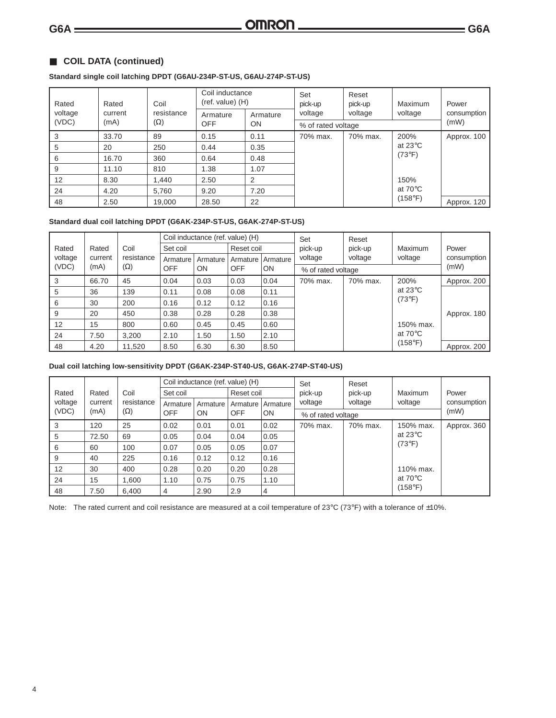#### ■ **COIL DATA (continued)**

#### **Standard single coil latching DPDT (G6AU-234P-ST-US, G6AU-274P-ST-US)**

| Coil<br>Rated<br>Rated<br>voltage<br>resistance<br>current<br>(VDC)<br>$(\Omega)$<br>(mA) |          |            | Coil inductance<br>$(ref. value)$ (H) |                    | Set<br>pick-up | Reset<br>pick-up | Maximum                    | Power       |
|-------------------------------------------------------------------------------------------|----------|------------|---------------------------------------|--------------------|----------------|------------------|----------------------------|-------------|
|                                                                                           | Armature | Armature   | voltage                               | voltage            | voltage        | consumption      |                            |             |
|                                                                                           |          | <b>OFF</b> | ON                                    | % of rated voltage | (mW)           |                  |                            |             |
| 3                                                                                         | 33.70    | 89         | 0.15                                  | 0.11               | 70% max.       | 70% max.         | 200%                       | Approx. 100 |
| 5                                                                                         | 20       | 250        | 0.44                                  | 0.35               |                |                  | at 23 $\mathrm{^{\circ}C}$ |             |
| 6                                                                                         | 16.70    | 360        | 0.64                                  | 0.48               |                |                  | $(73^{\circ}F)$            |             |
| 9                                                                                         | 11.10    | 810        | 1.38                                  | 1.07               |                |                  |                            |             |
| 12                                                                                        | 8.30     | 1.440      | 2.50                                  | 2                  |                |                  | 150%                       |             |
| 24                                                                                        | 4.20     | 5,760      | 9.20                                  | 7.20               |                |                  | at $70^{\circ}$ C          |             |
| 48                                                                                        | 2.50     | 19,000     | 28.50                                 | 22                 |                |                  | (158°F)                    | Approx. 120 |

#### **Standard dual coil latching DPDT (G6AK-234P-ST-US, G6AK-274P-ST-US)**

|         |         |                                       |          | Coil inductance (ref. value) (H) |                  |          | Set                | Reset    |                            |             |
|---------|---------|---------------------------------------|----------|----------------------------------|------------------|----------|--------------------|----------|----------------------------|-------------|
| Rated   | Rated   | Coil                                  | Set coil |                                  | Reset coil       |          | pick-up            | pick-up  | Maximum                    | Power       |
| voltage | current | resistance                            | Armature | Armature                         | Armature         | Armature | voltage            | voltage  | voltage                    | consumption |
| (VDC)   | (mA)    | $(\Omega)$<br><b>OFF</b><br><b>ON</b> |          |                                  | <b>OFF</b><br>ON |          | % of rated voltage | (mW)     |                            |             |
| 3       | 66.70   | 45                                    | 0.04     | 0.03                             | 0.03             | 0.04     | 70% max.           | 70% max. | 200%                       | Approx. 200 |
| 5       | 36      | 139                                   | 0.11     | 0.08                             | 0.08             | 0.11     |                    |          | at 23 $\mathrm{^{\circ}C}$ |             |
| 6       | 30      | 200                                   | 0.16     | 0.12                             | 0.12             | 0.16     |                    |          | $(73^{\circ}F)$            |             |
| 9       | 20      | 450                                   | 0.38     | 0.28                             | 0.28             | 0.38     |                    |          |                            | Approx. 180 |
| 12      | 15      | 800                                   | 0.60     | 0.45                             | 0.45             | 0.60     |                    |          | 150% max.                  |             |
| 24      | 7.50    | 3.200                                 | 2.10     | 1.50                             | 1.50             | 2.10     |                    |          | at $70^{\circ}$ C          |             |
| 48      | 4.20    | 11,520                                | 8.50     | 6.30                             | 6.30             | 8.50     |                    |          | (158°F)                    | Approx. 200 |

#### **Dual coil latching low-sensitivity DPDT (G6AK-234P-ST40-US, G6AK-274P-ST40-US)**

|               |         |            | Coil inductance (ref. value) (H) |           |            | Set            | Reset              |          |                                      |             |
|---------------|---------|------------|----------------------------------|-----------|------------|----------------|--------------------|----------|--------------------------------------|-------------|
| Rated         | Rated   | Coil       | Set coil                         |           | Reset coil |                | pick-up            | pick-up  | Maximum                              | Power       |
| voltage       | current | resistance | Armature                         | Armature  | Armature I | Armature       | voltage            | voltage  | voltage                              | consumption |
| (VDC)<br>(mA) |         | $(\Omega)$ | <b>OFF</b>                       | <b>ON</b> | <b>OFF</b> | <b>ON</b>      | % of rated voltage |          |                                      | (mW)        |
| 3             | 120     | 25         | 0.02                             | 0.01      | 0.01       | 0.02           | 70% max.           | 70% max. | 150% max.                            | Approx. 360 |
| 5             | 72.50   | 69         | 0.05                             | 0.04      | 0.04       | 0.05           |                    |          | at $23^{\circ}$ C<br>$(73^{\circ}F)$ |             |
| 6             | 60      | 100        | 0.07                             | 0.05      | 0.05       | 0.07           |                    |          |                                      |             |
| 9             | 40      | 225        | 0.16                             | 0.12      | 0.12       | 0.16           |                    |          |                                      |             |
| 12            | 30      | 400        | 0.28                             | 0.20      | 0.20       | 0.28           |                    |          | 110% max.                            |             |
| 24            | 15      | 1,600      | 1.10                             | 0.75      | 0.75       | 1.10           |                    |          | at $70^{\circ}$ C                    |             |
| 48            | 7.50    | 6,400      | 4                                | 2.90      | 2.9        | $\overline{4}$ |                    |          | (158°F)                              |             |

Note: The rated current and coil resistance are measured at a coil temperature of 23°C (73°F) with a tolerance of  $\pm 10$ %.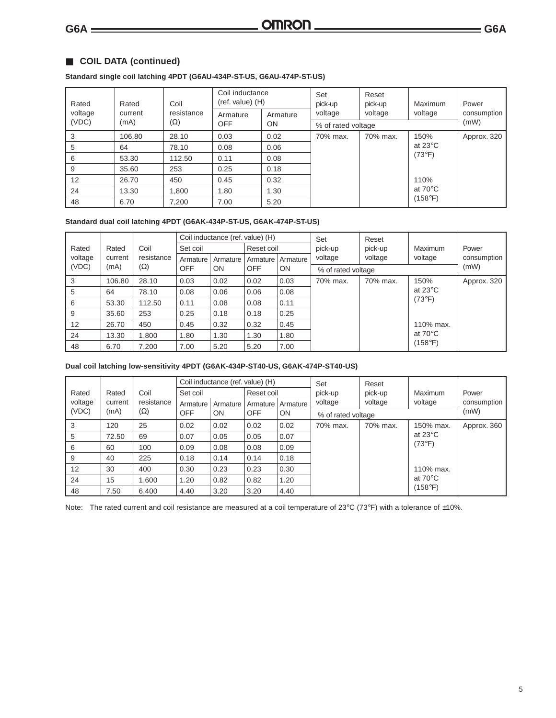#### ■ **COIL DATA (continued)**

#### **Standard single coil latching 4PDT (G6AU-434P-ST-US, G6AU-474P-ST-US)**

| Rated   | Rated   | Coil       | Coil inductance<br>$(ref. value)$ (H) |          | Set<br>pick-up     | Reset<br>pick-up | Maximum                    | Power       |
|---------|---------|------------|---------------------------------------|----------|--------------------|------------------|----------------------------|-------------|
| voltage | current | resistance | Armature                              | Armature | voltage            | voltage          | voltage                    | consumption |
| (VDC)   | (mA)    | $(\Omega)$ | <b>OFF</b>                            | ON       | % of rated voltage |                  |                            | (mW)        |
| 3       | 106.80  | 28.10      | 0.03                                  | 0.02     | 70% max.           | 70% max.         | 150%                       | Approx. 320 |
| 5       | 64      | 78.10      | 0.08                                  | 0.06     |                    |                  | at 23 $\mathrm{^{\circ}C}$ |             |
| 6       | 53.30   | 112.50     | 0.11                                  | 0.08     |                    |                  | $(73^{\circ}F)$            |             |
| 9       | 35.60   | 253        | 0.25                                  | 0.18     |                    |                  |                            |             |
| 12      | 26.70   | 450        | 0.45                                  | 0.32     |                    |                  | 110%                       |             |
| 24      | 13.30   | 1,800      | 1.80                                  | 1.30     |                    |                  | at $70^{\circ}$ C          |             |
| 48      | 6.70    | 7,200      | 7.00                                  | 5.20     |                    |                  | (158°F)                    |             |

#### **Standard dual coil latching 4PDT (G6AK-434P-ST-US, G6AK-474P-ST-US)**

|               |            |            |           | Coil inductance (ref. value) (H) |            |                    | Set      | Reset                        |                                               |             |
|---------------|------------|------------|-----------|----------------------------------|------------|--------------------|----------|------------------------------|-----------------------------------------------|-------------|
| Rated         | Rated      | Coil       | Set coil  |                                  | Reset coil |                    | pick-up  | pick-up                      | Maximum                                       | Power       |
| voltage       | current    | resistance | Armature  | Armature                         | Armature I | Armature           | voltage  | voltage                      | voltage                                       | consumption |
| (VDC)<br>(mA) | $(\Omega)$ | <b>OFF</b> | <b>ON</b> | <b>OFF</b>                       | <b>ON</b>  | % of rated voltage |          |                              | (mW)                                          |             |
| 3             | 106.80     | 28.10      | 0.03      | 0.02                             | 0.02       | 0.03               | 70% max. | 70% max.                     | 150%                                          | Approx. 320 |
| 5             | 64         | 78.10      | 0.08      | 0.06                             | 0.06       | 0.08               |          |                              | at 23 $\mathrm{^{\circ}C}$<br>$(73^{\circ}F)$ |             |
| 6             | 53.30      | 112.50     | 0.11      | 0.08                             | 0.08       | 0.11               |          |                              |                                               |             |
| 9             | 35.60      | 253        | 0.25      | 0.18                             | 0.18       | 0.25               |          |                              |                                               |             |
| 12            | 26.70      | 450        | 0.45      | 0.32                             | 0.32       | 0.45               |          |                              | 110% max.                                     |             |
| 24            | 13.30      | 1.800      | 1.80      | 1.30                             | 1.30       | 1.80               |          | at $70^{\circ}$ C<br>(158°F) |                                               |             |
| 48            | 6.70       | 7.200      | 7.00      | 5.20                             | 5.20       | 7.00               |          |                              |                                               |             |

#### **Dual coil latching low-sensitivity 4PDT (G6AK-434P-ST40-US, G6AK-474P-ST40-US)**

|               |         |            |            | Coil inductance (ref. value) (H) |            |           | Set                | Reset    |                   |             |
|---------------|---------|------------|------------|----------------------------------|------------|-----------|--------------------|----------|-------------------|-------------|
| Rated         | Rated   | Coil       | Set coil   |                                  | Reset coil |           | pick-up            | pick-up  | Maximum           | Power       |
| voltage       | current | resistance | Armature   | Armature                         | Armature I | Armature  | voltage            | voltage  | voltage           | consumption |
| (VDC)<br>(mA) |         | $(\Omega)$ | <b>OFF</b> | <b>ON</b>                        | <b>OFF</b> | <b>ON</b> | % of rated voltage |          |                   | (mW)        |
| 3             | 120     | 25         | 0.02       | 0.02                             | 0.02       | 0.02      | 70% max.           | 70% max. | 150% max.         | Approx. 360 |
| 5             | 72.50   | 69         | 0.07       | 0.05                             | 0.05       | 0.07      |                    |          | at $23^{\circ}$ C |             |
| 6             | 60      | 100        | 0.09       | 0.08                             | 0.08       | 0.09      |                    |          | $(73^{\circ}F)$   |             |
| 9             | 40      | 225        | 0.18       | 0.14                             | 0.14       | 0.18      |                    |          |                   |             |
| 12            | 30      | 400        | 0.30       | 0.23                             | 0.23       | 0.30      |                    |          | 110% max.         |             |
| 24            | 15      | 1,600      | 1.20       | 0.82                             | 0.82       | 1.20      |                    |          | at $70^{\circ}$ C |             |
| 48            | 7.50    | 6.400      | 4.40       | 3.20                             | 3.20       | 4.40      |                    |          | (158°F).          |             |

Note: The rated current and coil resistance are measured at a coil temperature of 23°C (73°F) with a tolerance of  $\pm 10$ %.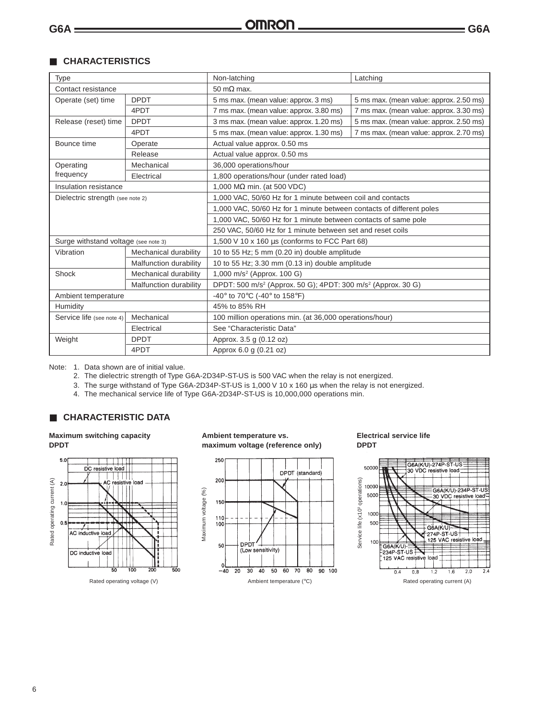#### ■ **CHARACTERISTICS**

| Type                                 |                        | Non-latching<br>Latching                                                             |                                         |  |  |  |
|--------------------------------------|------------------------|--------------------------------------------------------------------------------------|-----------------------------------------|--|--|--|
| Contact resistance                   |                        | $50 \text{ m}\Omega$ max.                                                            |                                         |  |  |  |
| Operate (set) time                   | <b>DPDT</b>            | 5 ms max. (mean value: approx. 3 ms)                                                 | 5 ms max. (mean value: approx. 2.50 ms) |  |  |  |
|                                      | 4PDT                   | 7 ms max. (mean value: approx. 3.80 ms)                                              | 7 ms max. (mean value: approx. 3.30 ms) |  |  |  |
| Release (reset) time                 | <b>DPDT</b>            | 3 ms max. (mean value: approx. 1.20 ms)                                              | 5 ms max. (mean value: approx. 2.50 ms) |  |  |  |
|                                      | 4PDT                   | 5 ms max. (mean value: approx. 1.30 ms)                                              | 7 ms max. (mean value: approx. 2.70 ms) |  |  |  |
| Bounce time                          | Operate                | Actual value approx. 0.50 ms                                                         |                                         |  |  |  |
|                                      | Release                | Actual value approx. 0.50 ms                                                         |                                         |  |  |  |
| Operating                            | Mechanical             | 36,000 operations/hour                                                               |                                         |  |  |  |
| frequency                            | Electrical             | 1,800 operations/hour (under rated load)                                             |                                         |  |  |  |
| Insulation resistance                |                        | 1,000 M $\Omega$ min. (at 500 VDC)                                                   |                                         |  |  |  |
| Dielectric strength (see note 2)     |                        | 1,000 VAC, 50/60 Hz for 1 minute between coil and contacts                           |                                         |  |  |  |
|                                      |                        | 1,000 VAC, 50/60 Hz for 1 minute between contacts of different poles                 |                                         |  |  |  |
|                                      |                        | 1,000 VAC, 50/60 Hz for 1 minute between contacts of same pole                       |                                         |  |  |  |
|                                      |                        | 250 VAC, 50/60 Hz for 1 minute between set and reset coils                           |                                         |  |  |  |
| Surge withstand voltage (see note 3) |                        | 1,500 V 10 x 160 µs (conforms to FCC Part 68)                                        |                                         |  |  |  |
| Vibration                            | Mechanical durability  | 10 to 55 Hz; 5 mm (0.20 in) double amplitude                                         |                                         |  |  |  |
|                                      | Malfunction durability | 10 to 55 Hz; 3.30 mm (0.13 in) double amplitude                                      |                                         |  |  |  |
| Shock                                | Mechanical durability  | 1,000 m/s <sup>2</sup> (Approx. 100 G)                                               |                                         |  |  |  |
|                                      | Malfunction durability | DPDT: 500 m/s <sup>2</sup> (Approx. 50 G); 4PDT: 300 m/s <sup>2</sup> (Approx. 30 G) |                                         |  |  |  |
| Ambient temperature                  |                        | -40° to 70°C (-40° to 158°F)                                                         |                                         |  |  |  |
| Humidity                             |                        | 45% to 85% RH                                                                        |                                         |  |  |  |
| Service life (see note 4)            | Mechanical             | 100 million operations min. (at 36,000 operations/hour)                              |                                         |  |  |  |
|                                      | Electrical             | See "Characteristic Data"                                                            |                                         |  |  |  |
| Weight                               | <b>DPDT</b>            | Approx. 3.5 g (0.12 oz)                                                              |                                         |  |  |  |
|                                      | 4PDT                   | Approx 6.0 g (0.21 oz)                                                               |                                         |  |  |  |

Note: 1. Data shown are of initial value.

- 2. The dielectric strength of Type G6A-2D34P-ST-US is 500 VAC when the relay is not energized.
- 3. The surge withstand of Type G6A-2D34P-ST-US is 1,000 V 10 x 160 µs when the relay is not energized.
- 4. The mechanical service life of Type G6A-2D34P-ST-US is 10,000,000 operations min.

#### ■ **CHARACTERISTIC DATA**

#### **Maximum switching capacity DPDT**



#### **Ambient temperature vs. maximum voltage (reference only)**



#### **Electrical service life DPDT**

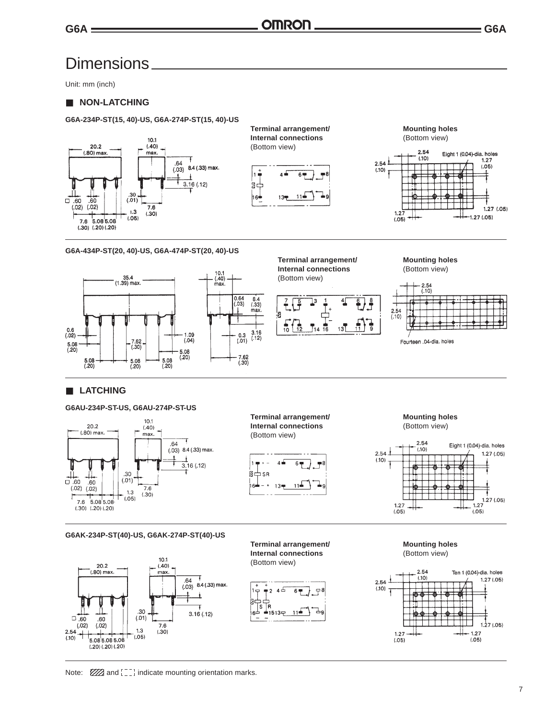### Dimensions

Unit: mm (inch)

#### ■ **NON-LATCHING**

#### **G6A-234P-ST(15, 40)-US, G6A-274P-ST(15, 40)-US**



**Terminal arrangement/** Mounting holes **Internal connections** (Bottom view) (Bottom view)







#### **G6A-434P-ST(20, 40)-US, G6A-474P-ST(20, 40)-US**





 $\frac{3.16}{(.12)}$ 







Fourteen .04-dia. holes

#### ■ **LATCHING**

#### **G6AU-234P-ST-US, G6AU-274P-ST-US**



**Terminal arrangement/** Mounting holes **Internal connections** (Bottom view) (Bottom view)





**G6AK-234P-ST(40)-US, G6AK-274P-ST(40)-US**



**Terminal arrangement/** Mounting holes **Internal connections** (Bottom view) (Bottom view)





Note:  $\mathbb{Z}/\mathbb{Z}$  and  $\begin{bmatrix} 1 & 1 \\ 1 & 2 \end{bmatrix}$  indicate mounting orientation marks.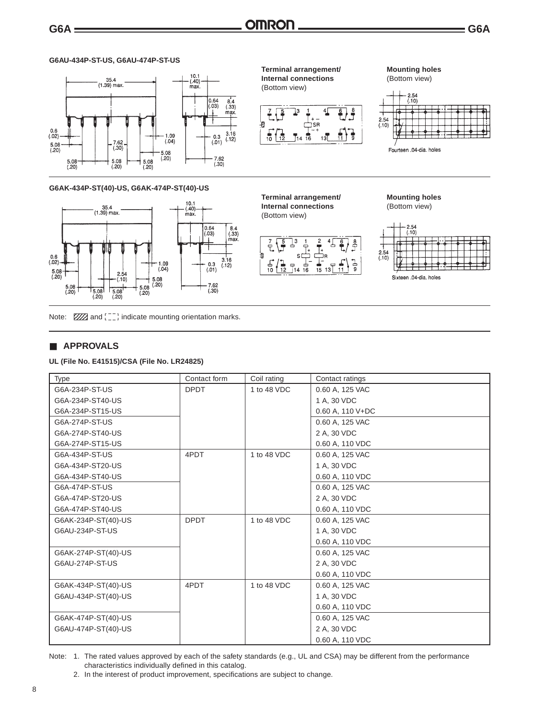'a

 $\frac{1}{10}$ 

É,

님.<br>10

ŀg

 $\overline{12}$ 

(Bottom view)

#### **G6AU-434P-ST-US, G6AU-474P-ST-US**



#### **G6AK-434P-ST(40)-US, G6AK-474P-ST(40)-US**



Note:  $\mathbb{Z}/\mathbb{Z}$  and  $\begin{bmatrix} 1 & 1 \\ 1 & 2 \end{bmatrix}$  indicate mounting orientation marks.

#### ■ **APPROVALS**

#### **UL (File No. E41515)/CSA (File No. LR24825)**

| Type                | Contact form | Coil rating | Contact ratings    |
|---------------------|--------------|-------------|--------------------|
| G6A-234P-ST-US      | <b>DPDT</b>  | 1 to 48 VDC | 0.60 A, 125 VAC    |
| G6A-234P-ST40-US    |              |             | 1 A, 30 VDC        |
| G6A-234P-ST15-US    |              |             | $0.60$ A, 110 V+DC |
| G6A-274P-ST-US      |              |             | 0.60 A, 125 VAC    |
| G6A-274P-ST40-US    |              |             | 2 A, 30 VDC        |
| G6A-274P-ST15-US    |              |             | 0.60 A, 110 VDC    |
| G6A-434P-ST-US      | 4PDT         | 1 to 48 VDC | 0.60 A, 125 VAC    |
| G6A-434P-ST20-US    |              |             | 1 A, 30 VDC        |
| G6A-434P-ST40-US    |              |             | 0.60 A, 110 VDC    |
| G6A-474P-ST-US      |              |             | 0.60 A, 125 VAC    |
| G6A-474P-ST20-US    |              |             | 2 A, 30 VDC        |
| G6A-474P-ST40-US    |              |             | 0.60 A, 110 VDC    |
| G6AK-234P-ST(40)-US | <b>DPDT</b>  | 1 to 48 VDC | 0.60 A, 125 VAC    |
| G6AU-234P-ST-US     |              |             | 1 A, 30 VDC        |
|                     |              |             | 0.60 A, 110 VDC    |
| G6AK-274P-ST(40)-US |              |             | 0.60 A, 125 VAC    |
| G6AU-274P-ST-US     |              |             | 2 A, 30 VDC        |
|                     |              |             | 0.60 A, 110 VDC    |
| G6AK-434P-ST(40)-US | 4PDT         | 1 to 48 VDC | 0.60 A, 125 VAC    |
| G6AU-434P-ST(40)-US |              |             | 1 A, 30 VDC        |
|                     |              |             | 0.60 A, 110 VDC    |
| G6AK-474P-ST(40)-US |              |             | 0.60 A, 125 VAC    |
| G6AU-474P-ST(40)-US |              |             | 2 A, 30 VDC        |
|                     |              |             | 0.60 A, 110 VDC    |

Note: 1. The rated values approved by each of the safety standards (e.g., UL and CSA) may be different from the performance characteristics individually defined in this catalog.

## **Terminal arrangement/ Mounting holes**

16

 $13<sup>T</sup>$ 

#### **Internal connections** (Bottom view) (Bottom view)

 $\overline{16}$ 

 $13$ 



 $2.54$ <br>(.10)

**Terminal arrangement/ Mounting holes Internal connections** (Bottom view)



 $2.54$ 

 $(10)$ 

Fourteen .04-dia. holes

<sup>2.</sup> In the interest of product improvement, specifications are subject to change.